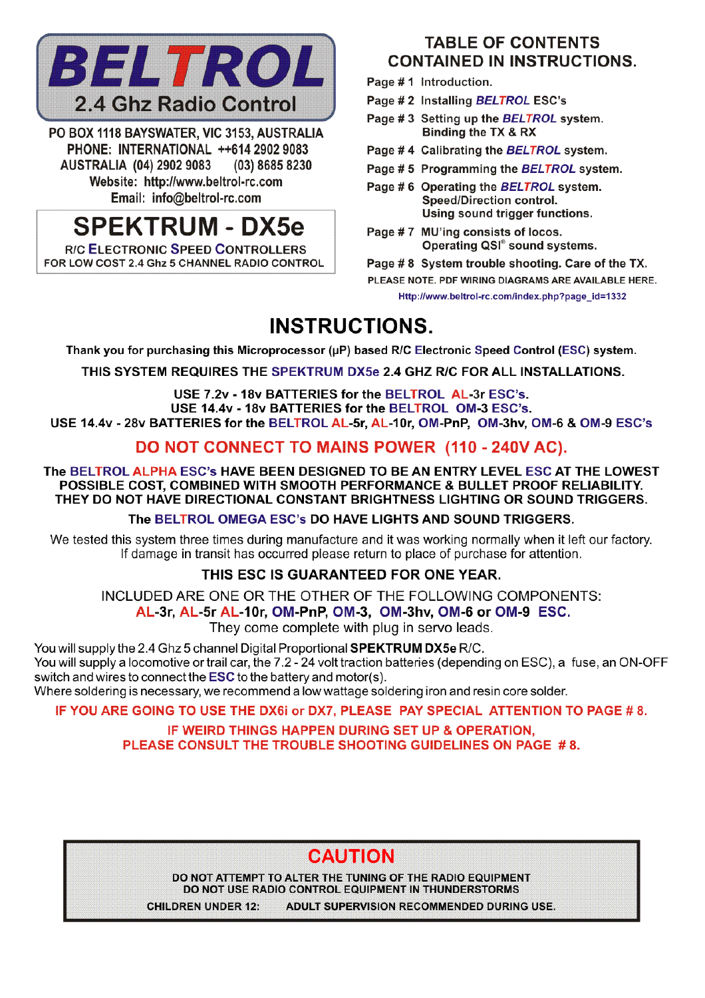

PO BOX 1118 BAYSWATER, VIC 3153, AUSTRALIA PHONE: INTERNATIONAL ++614 2902 9083 **AUSTRALIA (04) 2902 9083** (03) 8685 8230 Website: http://www.beltrol-rc.com Email: info@beltrol-rc.com

# **SPEKTRUM - DX5e**

**R/C ELECTRONIC SPEED CONTROLLERS** FOR LOW COST 2.4 Ghz 5 CHANNEL RADIO CONTROL

### **TABLE OF CONTENTS CONTAINED IN INSTRUCTIONS.**

- Page #1 Introduction.
- Page # 2 Installing BELTROL ESC's
- Page #3 Setting up the BELTROL system. Binding the TX & RX
- Page #4 Calibrating the BELTROL system.
- Page #5 Programming the BELTROL system.
- Page #6 Operating the BELTROL system. Speed/Direction control. Using sound trigger functions.
- Page #7 MU'ing consists of locos. Operating QSI<sup>®</sup> sound systems.

Page #8 System trouble shooting. Care of the TX. PLEASE NOTE. PDF WIRING DIAGRAMS ARE AVAILABLE HERE. Http://www.beltrol-rc.com/index.php?page\_id=1332

## **INSTRUCTIONS.**

Thank you for purchasing this Microprocessor (µP) based R/C Electronic Speed Control (ESC) system.

THIS SYSTEM REQUIRES THE SPEKTRUM DX5e 2.4 GHZ R/C FOR ALL INSTALLATIONS.

USE 7.2v - 18v BATTERIES for the BELTROL AL-3r ESC's. USE 14.4v - 18v BATTERIES for the BELTROL OM-3 ESC's.

USE 14.4v - 28v BATTERIES for the BELTROL AL-5r. AL-10r. OM-PnP. OM-3hv. OM-6 & OM-9 ESC's

### DO NOT CONNECT TO MAINS POWER (110 - 240V AC).

The BELTROL ALPHA ESC's HAVE BEEN DESIGNED TO BE AN ENTRY LEVEL ESC AT THE LOWEST POSSIBLE COST, COMBINED WITH SMOOTH PERFORMANCE & BULLET PROOF RELIABILITY. THEY DO NOT HAVE DIRECTIONAL CONSTANT BRIGHTNESS LIGHTING OR SOUND TRIGGERS.

The BELTROL OMEGA ESC's DO HAVE LIGHTS AND SOUND TRIGGERS.

We tested this system three times during manufacture and it was working normally when it left our factory. If damage in transit has occurred please return to place of purchase for attention.

### THIS ESC IS GUARANTEED FOR ONE YEAR.

INCLUDED ARE ONE OR THE OTHER OF THE FOLLOWING COMPONENTS:

AL-3r, AL-5r AL-10r, OM-PnP, OM-3, OM-3hv, OM-6 or OM-9 ESC.

They come complete with plug in servo leads.

You will supply the 2.4 Ghz 5 channel Digital Proportional SPEKTRUM DX5e R/C. You will supply a locomotive or trail car, the 7.2 - 24 volt traction batteries (depending on ESC), a fuse, an ON-OFF switch and wires to connect the **ESC** to the battery and motor(s).

Where soldering is necessary, we recommend a low wattage soldering iron and resin core solder.

IF YOU ARE GOING TO USE THE DX6i or DX7, PLEASE PAY SPECIAL ATTENTION TO PAGE #8.

IF WEIRD THINGS HAPPEN DURING SET UP & OPERATION. PLEASE CONSULT THE TROUBLE SHOOTING GUIDELINES ON PAGE #8.

### **CAUTION**

DO NOT ATTEMPT TO ALTER THE TUNING OF THE RADIO EQUIPMENT DO NOT USE RADIO CONTROL EQUIPMENT IN THUNDERSTORMS

CHILDREN UNDER 12: ADULT SUPERVISION RECOMMENDED DURING USE.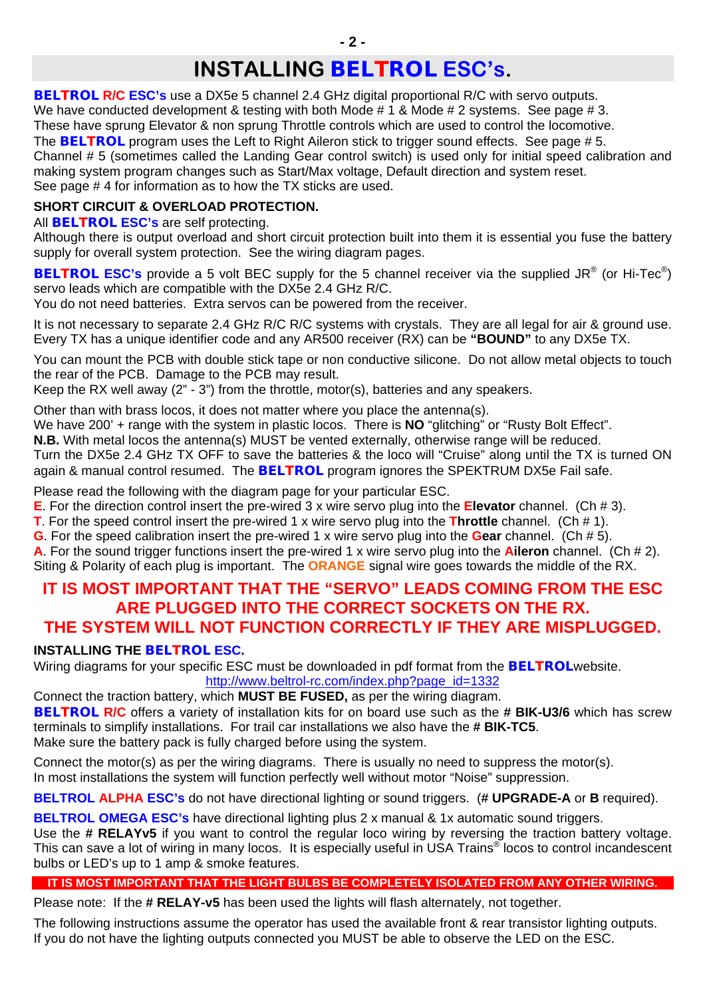## **INSTALLING** *BELTROL* **ESC's.**

**BELTROL R/C ESC's** use a DX5e 5 channel 2.4 GHz digital proportional R/C with servo outputs. We have conducted development & testing with both Mode # 1 & Mode # 2 systems. See page # 3. These have sprung Elevator & non sprung Throttle controls which are used to control the locomotive. The **BELTROL** program uses the Left to Right Aileron stick to trigger sound effects. See page #5. Channel # 5 (sometimes called the Landing Gear control switch) is used only for initial speed calibration and making system program changes such as Start/Max voltage, Default direction and system reset. See page # 4 for information as to how the TX sticks are used.

### **SHORT CIRCUIT & OVERLOAD PROTECTION.**

All *BELTROL* **ESC's** are self protecting.

Although there is output overload and short circuit protection built into them it is essential you fuse the battery supply for overall system protection. See the wiring diagram pages.

**BELTROL ESC's** provide a 5 volt BEC supply for the 5 channel receiver via the supplied JR<sup>®</sup> (or Hi-Tec<sup>®</sup>) servo leads which are compatible with the DX5e 2.4 GHz R/C.

You do not need batteries. Extra servos can be powered from the receiver.

It is not necessary to separate 2.4 GHz R/C R/C systems with crystals. They are all legal for air & ground use. Every TX has a unique identifier code and any AR500 receiver (RX) can be **"BOUND"** to any DX5e TX.

You can mount the PCB with double stick tape or non conductive silicone. Do not allow metal objects to touch the rear of the PCB. Damage to the PCB may result.

Keep the RX well away  $(2^{n} - 3^{n})$  from the throttle, motor(s), batteries and any speakers.

Other than with brass locos, it does not matter where you place the antenna(s).

We have 200' + range with the system in plastic locos. There is **NO** "glitching" or "Rusty Bolt Effect".

**N.B.** With metal locos the antenna(s) MUST be vented externally, otherwise range will be reduced.

Turn the DX5e 2.4 GHz TX OFF to save the batteries & the loco will "Cruise" along until the TX is turned ON again & manual control resumed. The *BELTROL* program ignores the SPEKTRUM DX5e Fail safe.

Please read the following with the diagram page for your particular ESC.

**E**. For the direction control insert the pre-wired 3 x wire servo plug into the **Elevator** channel. (Ch # 3).

**T**. For the speed control insert the pre-wired 1 x wire servo plug into the **Throttle** channel. (Ch # 1).

**G**. For the speed calibration insert the pre-wired 1 x wire servo plug into the **Gear** channel. (Ch # 5).

**A**. For the sound trigger functions insert the pre-wired 1 x wire servo plug into the **Aileron** channel. (Ch # 2). Siting & Polarity of each plug is important. The **ORANGE** signal wire goes towards the middle of the RX.

### **IT IS MOST IMPORTANT THAT THE "SERVO" LEADS COMING FROM THE ESC ARE PLUGGED INTO THE CORRECT SOCKETS ON THE RX. THE SYSTEM WILL NOT FUNCTION CORRECTLY IF THEY ARE MISPLUGGED.**

### **INSTALLING THE** *BELTROL* **ESC.**

Wiring diagrams for your specific ESC must be downloaded in pdf format from the *BELTROL*website. [http://www.beltrol-rc.com/index.php?page\\_id=1332](http://www.beltrol-rc.com/index.php?page_id=1332)

Connect the traction battery, which **MUST BE FUSED,** as per the wiring diagram. *BELTROL* **R/C** offers a variety of installation kits for on board use such as the **# BIK-U3/6** which has screw

terminals to simplify installations. For trail car installations we also have the **# BIK-TC5**. Make sure the battery pack is fully charged before using the system.

Connect the motor(s) as per the wiring diagrams. There is usually no need to suppress the motor(s). In most installations the system will function perfectly well without motor "Noise" suppression.

**BELTROL ALPHA ESC's** do not have directional lighting or sound triggers. (**# UPGRADE-A** or **B** required).

**BELTROL OMEGA ESC's** have directional lighting plus 2 x manual & 1x automatic sound triggers. Use the **# RELAYv5** if you want to control the regular loco wiring by reversing the traction battery voltage. This can save a lot of wiring in many locos. It is especially useful in USA Trains® locos to control incandescent bulbs or LED's up to 1 amp & smoke features.

### **IT IS MOST IMPORTANT THAT THE LIGHT BULBS BE COMPLETELY ISOLATED FROM ANY OTHER WIRING.**

Please note: If the **# RELAY-v5** has been used the lights will flash alternately, not together.

The following instructions assume the operator has used the available front & rear transistor lighting outputs. If you do not have the lighting outputs connected you MUST be able to observe the LED on the ESC.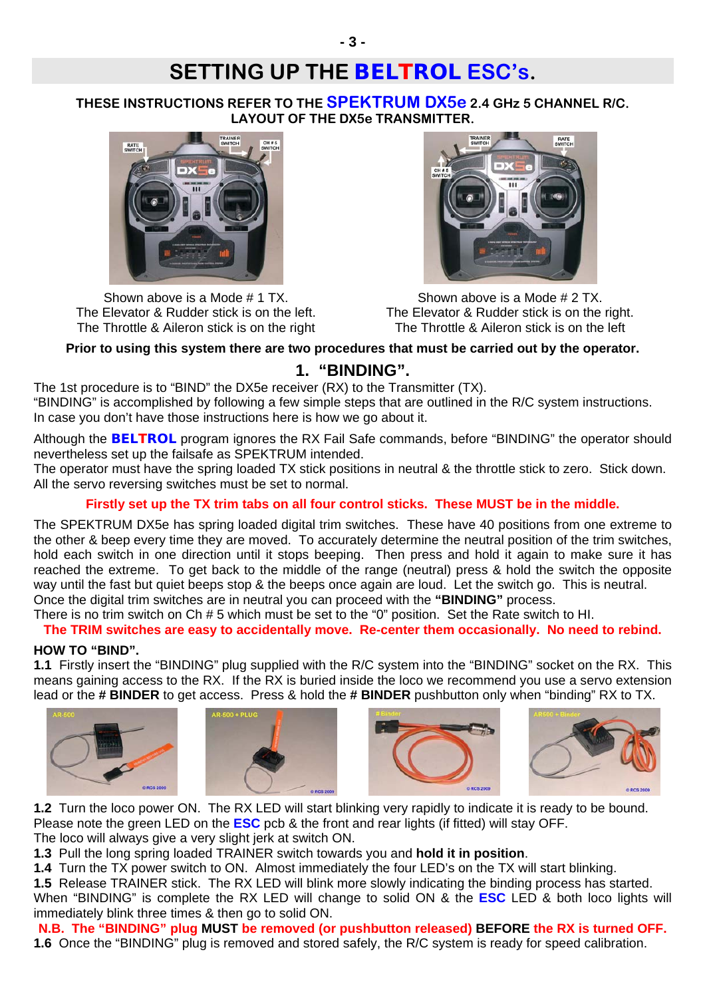## **SETTING UP THE** *BELTROL* **ESC's.**

**THESE INSTRUCTIONS REFER TO THE SPEKTRUM DX5e 2.4 GHz 5 CHANNEL R/C. LAYOUT OF THE DX5e TRANSMITTER.**



Shown above is a Mode # 1 TX. The Elevator & Rudder stick is on the left. The Throttle & Aileron stick is on the right



Shown above is a Mode # 2 TX. The Elevator & Rudder stick is on the right. The Throttle & Aileron stick is on the left

### **Prior to using this system there are two procedures that must be carried out by the operator.**

### **1. "BINDING".**

The 1st procedure is to "BIND" the DX5e receiver (RX) to the Transmitter (TX). "BINDING" is accomplished by following a few simple steps that are outlined in the R/C system instructions. In case you don't have those instructions here is how we go about it.

Although the *BELTROL* program ignores the RX Fail Safe commands, before "BINDING" the operator should nevertheless set up the failsafe as SPEKTRUM intended.

The operator must have the spring loaded TX stick positions in neutral & the throttle stick to zero. Stick down. All the servo reversing switches must be set to normal.

### **Firstly set up the TX trim tabs on all four control sticks. These MUST be in the middle.**

The SPEKTRUM DX5e has spring loaded digital trim switches. These have 40 positions from one extreme to the other & beep every time they are moved. To accurately determine the neutral position of the trim switches, hold each switch in one direction until it stops beeping. Then press and hold it again to make sure it has reached the extreme. To get back to the middle of the range (neutral) press & hold the switch the opposite way until the fast but quiet beeps stop & the beeps once again are loud. Let the switch go. This is neutral. Once the digital trim switches are in neutral you can proceed with the **"BINDING"** process.

There is no trim switch on Ch # 5 which must be set to the "0" position. Set the Rate switch to HI.

**The TRIM switches are easy to accidentally move. Re-center them occasionally. No need to rebind.** 

#### **HOW TO "BIND".**

**1.1** Firstly insert the "BINDING" plug supplied with the R/C system into the "BINDING" socket on the RX. This means gaining access to the RX. If the RX is buried inside the loco we recommend you use a servo extension lead or the **# BINDER** to get access. Press & hold the **# BINDER** pushbutton only when "binding" RX to TX.









**1.2** Turn the loco power ON. The RX LED will start blinking very rapidly to indicate it is ready to be bound. Please note the green LED on the **ESC** pcb & the front and rear lights (if fitted) will stay OFF. The loco will always give a very slight jerk at switch ON.

**1.3** Pull the long spring loaded TRAINER switch towards you and **hold it in position**.

**1.4** Turn the TX power switch to ON. Almost immediately the four LED's on the TX will start blinking.

**1.5** Release TRAINER stick. The RX LED will blink more slowly indicating the binding process has started. When "BINDING" is complete the RX LED will change to solid ON & the **ESC** LED & both loco lights will immediately blink three times & then go to solid ON.

**N.B. The "BINDING" plug MUST be removed (or pushbutton released) BEFORE the RX is turned OFF.** 

**1.6** Once the "BINDING" plug is removed and stored safely, the R/C system is ready for speed calibration.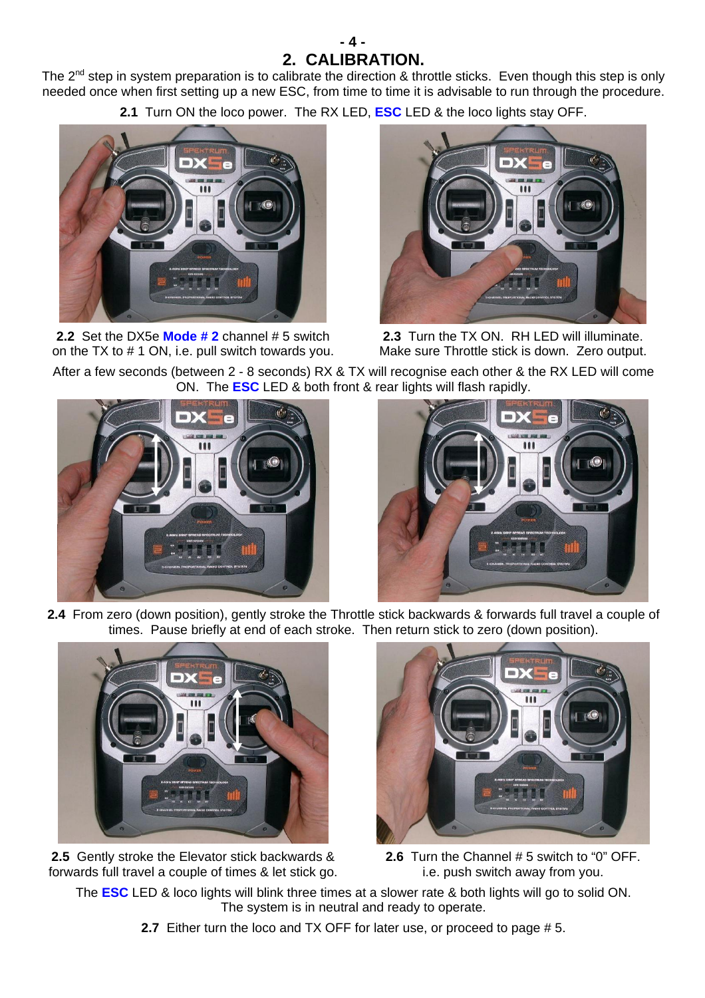### **- 4 - 2. CALIBRATION.**

The 2<sup>nd</sup> step in system preparation is to calibrate the direction & throttle sticks. Even though this step is only needed once when first setting up a new ESC, from time to time it is advisable to run through the procedure.

**2.1** Turn ON the loco power. The RX LED, **ESC** LED & the loco lights stay OFF.



**2.2** Set the DX5e **Mode # 2** channel # 5 switch on the TX to # 1 ON, i.e. pull switch towards you.



**2.3** Turn the TX ON. RH LED will illuminate. Make sure Throttle stick is down. Zero output.

After a few seconds (between 2 - 8 seconds) RX & TX will recognise each other & the RX LED will come ON. The **ESC** LED & both front & rear lights will flash rapidly.





**2.4** From zero (down position), gently stroke the Throttle stick backwards & forwards full travel a couple of times. Pause briefly at end of each stroke. Then return stick to zero (down position).



**2.5** Gently stroke the Elevator stick backwards & forwards full travel a couple of times & let stick go.



**2.6** Turn the Channel # 5 switch to "0" OFF. i.e. push switch away from you.

The **ESC** LED & loco lights will blink three times at a slower rate & both lights will go to solid ON. The system is in neutral and ready to operate.

**2.7** Either turn the loco and TX OFF for later use, or proceed to page # 5.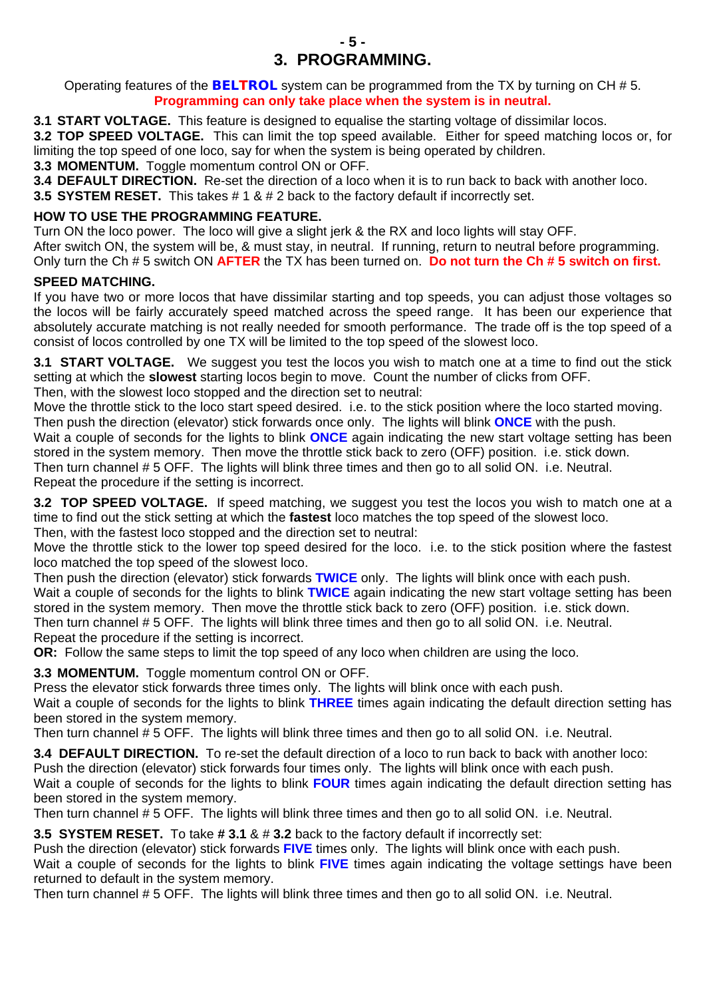Operating features of the *BELTROL* system can be programmed from the TX by turning on CH # 5. **Programming can only take place when the system is in neutral.** 

**3.1 START VOLTAGE.** This feature is designed to equalise the starting voltage of dissimilar locos.

**3.2 TOP SPEED VOLTAGE.** This can limit the top speed available. Either for speed matching locos or, for limiting the top speed of one loco, say for when the system is being operated by children.

**3.3 MOMENTUM.** Toggle momentum control ON or OFF.

**3.4 DEFAULT DIRECTION.** Re-set the direction of a loco when it is to run back to back with another loco.

**3.5 SYSTEM RESET.** This takes # 1 & # 2 back to the factory default if incorrectly set.

### **HOW TO USE THE PROGRAMMING FEATURE.**

Turn ON the loco power. The loco will give a slight jerk & the RX and loco lights will stay OFF. After switch ON, the system will be, & must stay, in neutral. If running, return to neutral before programming.

Only turn the Ch # 5 switch ON **AFTER** the TX has been turned on. **Do not turn the Ch # 5 switch on first.** 

### **SPEED MATCHING.**

If you have two or more locos that have dissimilar starting and top speeds, you can adjust those voltages so the locos will be fairly accurately speed matched across the speed range. It has been our experience that absolutely accurate matching is not really needed for smooth performance. The trade off is the top speed of a consist of locos controlled by one TX will be limited to the top speed of the slowest loco.

**3.1 START VOLTAGE.** We suggest you test the locos you wish to match one at a time to find out the stick setting at which the **slowest** starting locos begin to move. Count the number of clicks from OFF. Then, with the slowest loco stopped and the direction set to neutral:

Move the throttle stick to the loco start speed desired. i.e. to the stick position where the loco started moving. Then push the direction (elevator) stick forwards once only. The lights will blink **ONCE** with the push.

Wait a couple of seconds for the lights to blink **ONCE** again indicating the new start voltage setting has been stored in the system memory. Then move the throttle stick back to zero (OFF) position. i.e. stick down.

Then turn channel # 5 OFF. The lights will blink three times and then go to all solid ON. i.e. Neutral. Repeat the procedure if the setting is incorrect.

**3.2 TOP SPEED VOLTAGE.** If speed matching, we suggest you test the locos you wish to match one at a time to find out the stick setting at which the **fastest** loco matches the top speed of the slowest loco. Then, with the fastest loco stopped and the direction set to neutral:

Move the throttle stick to the lower top speed desired for the loco. i.e. to the stick position where the fastest loco matched the top speed of the slowest loco.

Then push the direction (elevator) stick forwards **TWICE** only. The lights will blink once with each push. Wait a couple of seconds for the lights to blink **TWICE** again indicating the new start voltage setting has been stored in the system memory. Then move the throttle stick back to zero (OFF) position. i.e. stick down. Then turn channel # 5 OFF. The lights will blink three times and then go to all solid ON. i.e. Neutral. Repeat the procedure if the setting is incorrect.

**OR:** Follow the same steps to limit the top speed of any loco when children are using the loco.

**3.3 MOMENTUM.** Toggle momentum control ON or OFF.

Press the elevator stick forwards three times only. The lights will blink once with each push.

Wait a couple of seconds for the lights to blink **THREE** times again indicating the default direction setting has been stored in the system memory.

Then turn channel # 5 OFF. The lights will blink three times and then go to all solid ON. i.e. Neutral.

**3.4 DEFAULT DIRECTION.** To re-set the default direction of a loco to run back to back with another loco: Push the direction (elevator) stick forwards four times only. The lights will blink once with each push.

Wait a couple of seconds for the lights to blink **FOUR** times again indicating the default direction setting has been stored in the system memory.

Then turn channel # 5 OFF. The lights will blink three times and then go to all solid ON. i.e. Neutral.

**3.5 SYSTEM RESET.** To take **# 3.1** & # **3.2** back to the factory default if incorrectly set:

Push the direction (elevator) stick forwards **FIVE** times only. The lights will blink once with each push. Wait a couple of seconds for the lights to blink **FIVE** times again indicating the voltage settings have been returned to default in the system memory.

Then turn channel # 5 OFF. The lights will blink three times and then go to all solid ON. i.e. Neutral.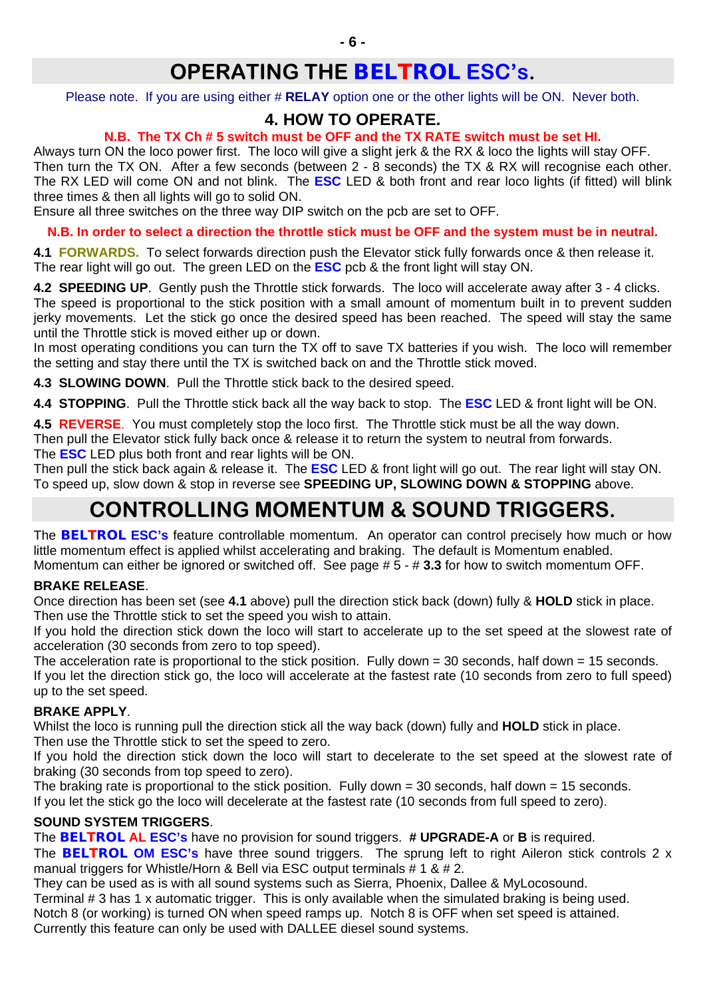## **OPERATING THE** *BELTROL* **ESC's.**

Please note. If you are using either # **RELAY** option one or the other lights will be ON. Never both.

### **4. HOW TO OPERATE.**

### **N.B. The TX Ch # 5 switch must be OFF and the TX RATE switch must be set HI.**

Always turn ON the loco power first. The loco will give a slight jerk & the RX & loco the lights will stay OFF. Then turn the TX ON. After a few seconds (between 2 - 8 seconds) the TX & RX will recognise each other. The RX LED will come ON and not blink. The **ESC** LED & both front and rear loco lights (if fitted) will blink three times & then all lights will go to solid ON.

Ensure all three switches on the three way DIP switch on the pcb are set to OFF.

**N.B. In order to select a direction the throttle stick must be OFF and the system must be in neutral.** 

**4.1 FORWARDS.** To select forwards direction push the Elevator stick fully forwards once & then release it. The rear light will go out. The green LED on the **ESC** pcb & the front light will stay ON.

**4.2 SPEEDING UP**. Gently push the Throttle stick forwards. The loco will accelerate away after 3 - 4 clicks. The speed is proportional to the stick position with a small amount of momentum built in to prevent sudden jerky movements. Let the stick go once the desired speed has been reached. The speed will stay the same until the Throttle stick is moved either up or down.

In most operating conditions you can turn the TX off to save TX batteries if you wish. The loco will remember the setting and stay there until the TX is switched back on and the Throttle stick moved.

**4.3 SLOWING DOWN**. Pull the Throttle stick back to the desired speed.

**4.4 STOPPING**. Pull the Throttle stick back all the way back to stop. The **ESC** LED & front light will be ON.

**4.5 REVERSE**. You must completely stop the loco first. The Throttle stick must be all the way down. Then pull the Elevator stick fully back once & release it to return the system to neutral from forwards. The **ESC** LED plus both front and rear lights will be ON.

Then pull the stick back again & release it. The **ESC** LED & front light will go out. The rear light will stay ON. To speed up, slow down & stop in reverse see **SPEEDING UP, SLOWING DOWN & STOPPING** above.

## **CONTROLLING MOMENTUM & SOUND TRIGGERS.**

The *BELTROL* **ESC's** feature controllable momentum. An operator can control precisely how much or how little momentum effect is applied whilst accelerating and braking. The default is Momentum enabled. Momentum can either be ignored or switched off. See page # 5 - # **3.3** for how to switch momentum OFF.

### **BRAKE RELEASE**.

Once direction has been set (see **4.1** above) pull the direction stick back (down) fully & **HOLD** stick in place. Then use the Throttle stick to set the speed you wish to attain.

If you hold the direction stick down the loco will start to accelerate up to the set speed at the slowest rate of acceleration (30 seconds from zero to top speed).

The acceleration rate is proportional to the stick position. Fully down = 30 seconds, half down = 15 seconds. If you let the direction stick go, the loco will accelerate at the fastest rate (10 seconds from zero to full speed) up to the set speed.

### **BRAKE APPLY**.

Whilst the loco is running pull the direction stick all the way back (down) fully and **HOLD** stick in place. Then use the Throttle stick to set the speed to zero.

If you hold the direction stick down the loco will start to decelerate to the set speed at the slowest rate of braking (30 seconds from top speed to zero).

The braking rate is proportional to the stick position. Fully down  $= 30$  seconds, half down  $= 15$  seconds.

If you let the stick go the loco will decelerate at the fastest rate (10 seconds from full speed to zero).

### **SOUND SYSTEM TRIGGERS**.

The *BELTROL* **AL ESC's** have no provision for sound triggers. **# UPGRADE-A** or **B** is required. The *BELTROL* **OM ESC's** have three sound triggers. The sprung left to right Aileron stick controls 2 x manual triggers for Whistle/Horn & Bell via ESC output terminals  $# 1 \& # 2$ .

They can be used as is with all sound systems such as Sierra, Phoenix, Dallee & MyLocosound. Terminal # 3 has 1 x automatic trigger. This is only available when the simulated braking is being used. Notch 8 (or working) is turned ON when speed ramps up. Notch 8 is OFF when set speed is attained. Currently this feature can only be used with DALLEE diesel sound systems.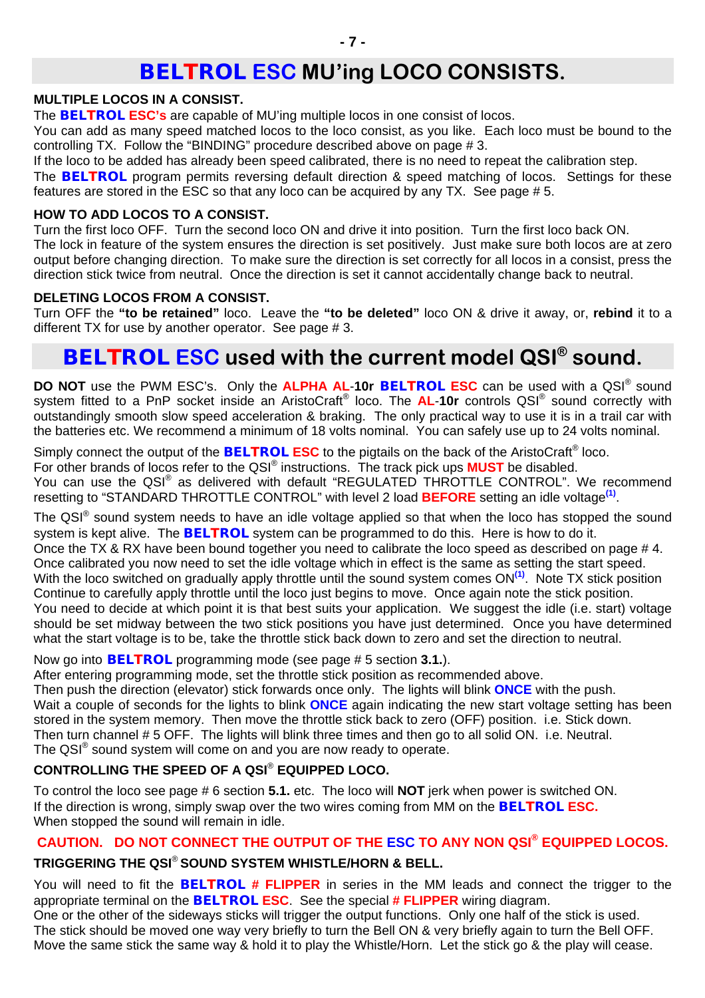### *BELTROL* **ESC MU'ing LOCO CONSISTS.**

#### **MULTIPLE LOCOS IN A CONSIST.**

The *BELTROL* **ESC's** are capable of MU'ing multiple locos in one consist of locos.

You can add as many speed matched locos to the loco consist, as you like. Each loco must be bound to the controlling TX. Follow the "BINDING" procedure described above on page # 3.

If the loco to be added has already been speed calibrated, there is no need to repeat the calibration step.

The *BELTROL* program permits reversing default direction & speed matching of locos. Settings for these features are stored in the ESC so that any loco can be acquired by any TX. See page # 5.

### **HOW TO ADD LOCOS TO A CONSIST.**

Turn the first loco OFF. Turn the second loco ON and drive it into position. Turn the first loco back ON. The lock in feature of the system ensures the direction is set positively. Just make sure both locos are at zero output before changing direction. To make sure the direction is set correctly for all locos in a consist, press the direction stick twice from neutral. Once the direction is set it cannot accidentally change back to neutral.

### **DELETING LOCOS FROM A CONSIST.**

Turn OFF the **"to be retained"** loco. Leave the **"to be deleted"** loco ON & drive it away, or, **rebind** it to a different TX for use by another operator. See page # 3.

## *BELTROL* **ESC used with the current model QSI® sound.**

**DO NOT** use the PWM ESC's. Only the **ALPHA AL**-**10r** *BELTROL* **ESC** can be used with a QSI® sound system fitted to a PnP socket inside an AristoCraft® loco. The **AL**-**10r** controls QSI® sound correctly with outstandingly smooth slow speed acceleration & braking. The only practical way to use it is in a trail car with the batteries etc. We recommend a minimum of 18 volts nominal. You can safely use up to 24 volts nominal.

Simply connect the output of the *BELTROL* **ESC** to the pigtails on the back of the AristoCraft® loco. For other brands of locos refer to the QSI® instructions. The track pick ups **MUST** be disabled. You can use the QSI<sup>®</sup> as delivered with default "REGULATED THROTTLE CONTROL". We recommend resetting to "STANDARD THROTTLE CONTROL" with level 2 load **BEFORE** setting an idle voltage**(1)**.

The QSI® sound system needs to have an idle voltage applied so that when the loco has stopped the sound system is kept alive. The *BELTROL* system can be programmed to do this. Here is how to do it. Once the TX & RX have been bound together you need to calibrate the loco speed as described on page # 4. Once calibrated you now need to set the idle voltage which in effect is the same as setting the start speed. With the loco switched on gradually apply throttle until the sound system comes ON<sup>(1)</sup>. Note TX stick position Continue to carefully apply throttle until the loco just begins to move. Once again note the stick position. You need to decide at which point it is that best suits your application. We suggest the idle (i.e. start) voltage should be set midway between the two stick positions you have just determined. Once you have determined what the start voltage is to be, take the throttle stick back down to zero and set the direction to neutral.

Now go into *BELTROL* programming mode (see page # 5 section **3.1.**).

After entering programming mode, set the throttle stick position as recommended above.

Then push the direction (elevator) stick forwards once only. The lights will blink **ONCE** with the push. Wait a couple of seconds for the lights to blink **ONCE** again indicating the new start voltage setting has been stored in the system memory. Then move the throttle stick back to zero (OFF) position. i.e. Stick down. Then turn channel # 5 OFF. The lights will blink three times and then go to all solid ON. i.e. Neutral. The QSI® sound system will come on and you are now ready to operate.

### **CONTROLLING THE SPEED OF A QSI**® **EQUIPPED LOCO.**

To control the loco see page # 6 section **5.1.** etc. The loco will **NOT** jerk when power is switched ON. If the direction is wrong, simply swap over the two wires coming from MM on the *BELTROL* **ESC.** When stopped the sound will remain in idle.

### **CAUTION. DO NOT CONNECT THE OUTPUT OF THE ESC TO ANY NON QSI® EQUIPPED LOCOS.**

### **TRIGGERING THE QSI**® **SOUND SYSTEM WHISTLE/HORN & BELL.**

You will need to fit the *BELTROL* **# FLIPPER** in series in the MM leads and connect the trigger to the appropriate terminal on the *BELTROL* **ESC**. See the special **# FLIPPER** wiring diagram.

One or the other of the sideways sticks will trigger the output functions. Only one half of the stick is used. The stick should be moved one way very briefly to turn the Bell ON & very briefly again to turn the Bell OFF. Move the same stick the same way & hold it to play the Whistle/Horn. Let the stick go & the play will cease.